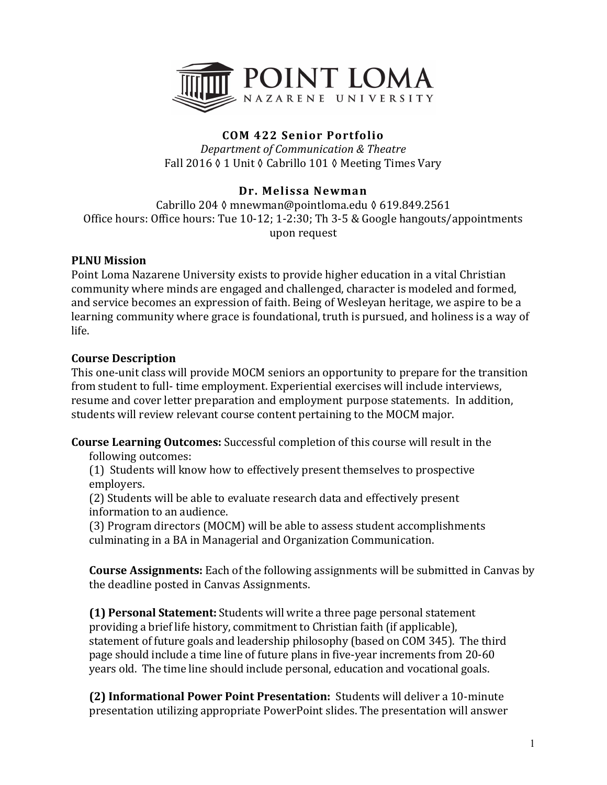

# **COM 422 Senior Portfolio**

*Department of Communication & Theatre* Fall 2016 ♦ 1 Unit ♦ Cabrillo 101 ♦ Meeting Times Vary

# **Dr. Melissa Newman**

Cabrillo 204 ≬ mnewman@pointloma.edu § 619.849.2561 Office hours: Office hours: Tue  $10-12$ ;  $1-2:30$ ; Th  $3-5$  & Google hangouts/appointments upon request

#### **PLNU** Mission

Point Loma Nazarene University exists to provide higher education in a vital Christian community where minds are engaged and challenged, character is modeled and formed, and service becomes an expression of faith. Being of Wesleyan heritage, we aspire to be a learning community where grace is foundational, truth is pursued, and holiness is a way of life. 

#### **Course Description**

This one-unit class will provide MOCM seniors an opportunity to prepare for the transition from student to full- time employment. Experiential exercises will include interviews, resume and cover letter preparation and employment purpose statements. In addition, students will review relevant course content pertaining to the MOCM major.

**Course Learning Outcomes:** Successful completion of this course will result in the

following outcomes:

(1) Students will know how to effectively present themselves to prospective employers.

(2) Students will be able to evaluate research data and effectively present information to an audience.

(3) Program directors (MOCM) will be able to assess student accomplishments culminating in a BA in Managerial and Organization Communication.

**Course Assignments:** Each of the following assignments will be submitted in Canvas by the deadline posted in Canvas Assignments.

**(1) Personal Statement:** Students will write a three page personal statement providing a brief life history, commitment to Christian faith (if applicable), statement of future goals and leadership philosophy (based on COM 345). The third page should include a time line of future plans in five-year increments from 20-60 years old. The time line should include personal, education and vocational goals.

**(2) Informational Power Point Presentation:** Students will deliver a 10-minute presentation utilizing appropriate PowerPoint slides. The presentation will answer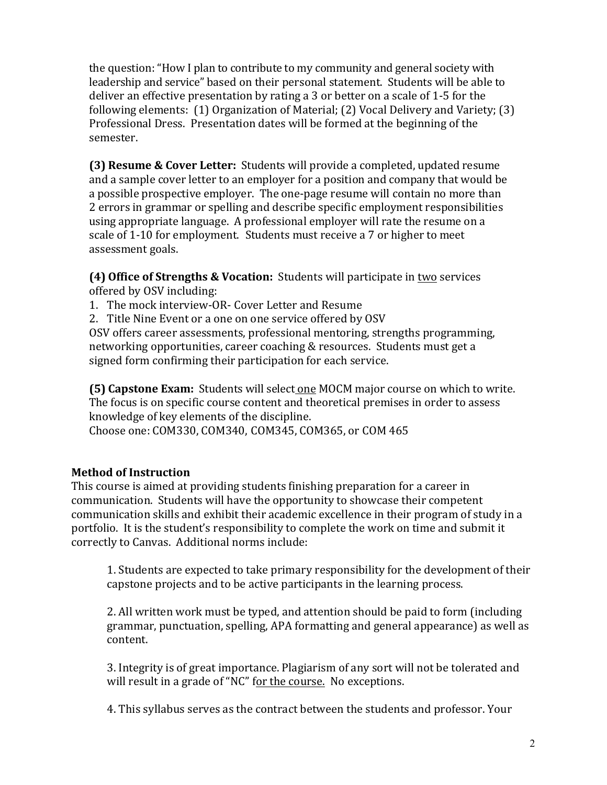the question: "How I plan to contribute to my community and general society with leadership and service" based on their personal statement. Students will be able to deliver an effective presentation by rating a 3 or better on a scale of 1-5 for the following elements:  $(1)$  Organization of Material;  $(2)$  Vocal Delivery and Variety;  $(3)$ Professional Dress. Presentation dates will be formed at the beginning of the semester.

**(3) Resume & Cover Letter:** Students will provide a completed, updated resume and a sample cover letter to an employer for a position and company that would be a possible prospective employer. The one-page resume will contain no more than 2 errors in grammar or spelling and describe specific employment responsibilities using appropriate language. A professional employer will rate the resume on a scale of 1-10 for employment. Students must receive a 7 or higher to meet assessment goals.

**(4) Office of Strengths & Vocation:** Students will participate in two services offered by OSV including:

1. The mock interview-OR- Cover Letter and Resume

2. Title Nine Event or a one on one service offered by OSV

OSV offers career assessments, professional mentoring, strengths programming, networking opportunities, career coaching & resources. Students must get a signed form confirming their participation for each service.

**(5) Capstone Exam:** Students will select one MOCM major course on which to write. The focus is on specific course content and theoretical premises in order to assess knowledge of key elements of the discipline.

Choose one: COM330, COM340, COM345, COM365, or COM 465

### **Method of Instruction**

This course is aimed at providing students finishing preparation for a career in communication. Students will have the opportunity to showcase their competent communication skills and exhibit their academic excellence in their program of study in a portfolio. It is the student's responsibility to complete the work on time and submit it correctly to Canvas. Additional norms include:

1. Students are expected to take primary responsibility for the development of their capstone projects and to be active participants in the learning process.

2. All written work must be typed, and attention should be paid to form (including grammar, punctuation, spelling, APA formatting and general appearance) as well as content. 

3. Integrity is of great importance. Plagiarism of any sort will not be tolerated and will result in a grade of "NC" for the course. No exceptions.

4. This syllabus serves as the contract between the students and professor. Your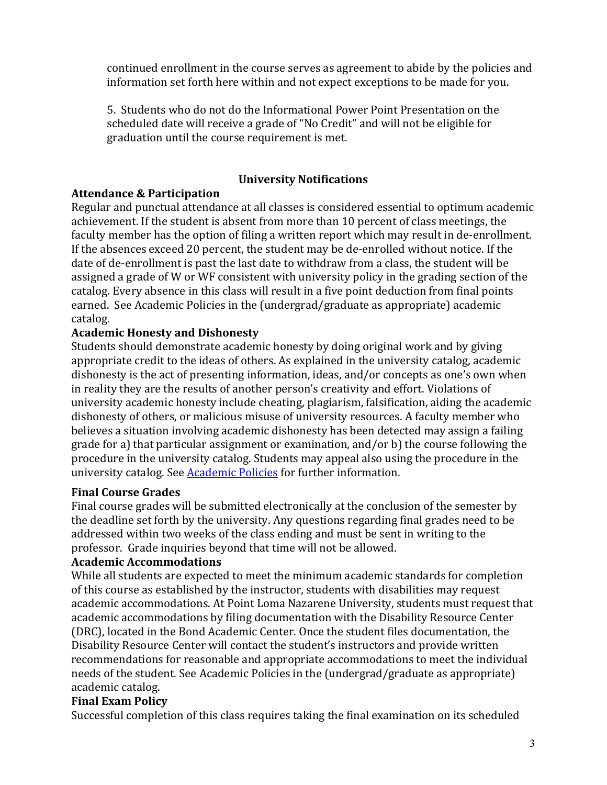continued enrollment in the course serves as agreement to abide by the policies and information set forth here within and not expect exceptions to be made for you.

5. Students who do not do the Informational Power Point Presentation on the scheduled date will receive a grade of "No Credit" and will not be eligible for graduation until the course requirement is met.

#### **University Notifications**

### **Attendance & Participation**

Regular and punctual attendance at all classes is considered essential to optimum academic achievement. If the student is absent from more than 10 percent of class meetings, the faculty member has the option of filing a written report which may result in de-enrollment. If the absences exceed 20 percent, the student may be de-enrolled without notice. If the date of de-enrollment is past the last date to withdraw from a class, the student will be assigned a grade of W or WF consistent with university policy in the grading section of the catalog. Every absence in this class will result in a five point deduction from final points earned. See Academic Policies in the (undergrad/graduate as appropriate) academic catalog.

# **Academic Honesty and Dishonesty**

Students should demonstrate academic honesty by doing original work and by giving appropriate credit to the ideas of others. As explained in the university catalog, academic dishonesty is the act of presenting information, ideas, and/or concepts as one's own when in reality they are the results of another person's creativity and effort. Violations of university academic honesty include cheating, plagiarism, falsification, aiding the academic dishonesty of others, or malicious misuse of university resources. A faculty member who believes a situation involving academic dishonesty has been detected may assign a failing grade for a) that particular assignment or examination, and/or  $b$ ) the course following the procedure in the university catalog. Students may appeal also using the procedure in the university catalog. See Academic Policies for further information.

### **Final Course Grades**

Final course grades will be submitted electronically at the conclusion of the semester by the deadline set forth by the university. Any questions regarding final grades need to be addressed within two weeks of the class ending and must be sent in writing to the professor. Grade inquiries beyond that time will not be allowed.

### **Academic Accommodations**

While all students are expected to meet the minimum academic standards for completion of this course as established by the instructor, students with disabilities may request academic accommodations. At Point Loma Nazarene University, students must request that academic accommodations by filing documentation with the Disability Resource Center (DRC), located in the Bond Academic Center. Once the student files documentation, the Disability Resource Center will contact the student's instructors and provide written recommendations for reasonable and appropriate accommodations to meet the individual needs of the student. See Academic Policies in the (undergrad/graduate as appropriate) academic catalog.

### **Final Exam Policy**

Successful completion of this class requires taking the final examination on its scheduled